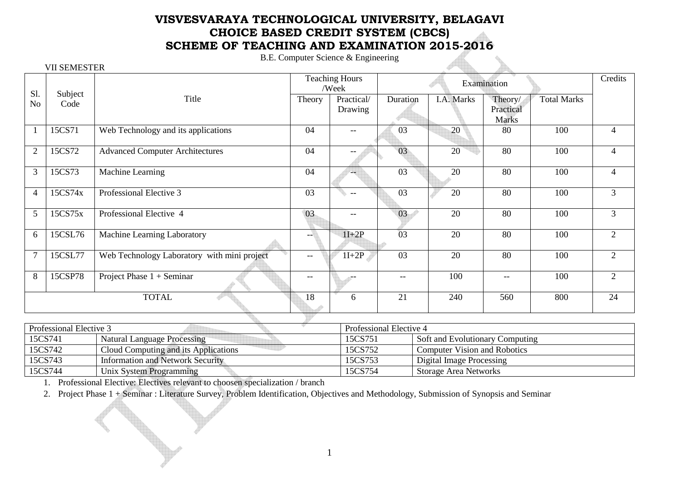## **VISVESVARAYA TECHNOLOGICAL UNIVERSITY, BELAGAVI CHOICE BASED CREDIT SYSTEM (CBCS) SCHEME OF TEACHING AND EXAMINATION 2015-2016**

B.E. Computer Science & Engineering

|                | <b>VII SEMESTER</b> |                                             |                                |                       |             |            |                      |                    |                |
|----------------|---------------------|---------------------------------------------|--------------------------------|-----------------------|-------------|------------|----------------------|--------------------|----------------|
| Sl.            | Subject             |                                             | <b>Teaching Hours</b><br>/Week |                       | Examination |            |                      |                    | Credits        |
| N <sub>o</sub> | Code                | Title                                       | Theory                         | Practical/<br>Drawing | Duration    | I.A. Marks | Theory/<br>Practical | <b>Total Marks</b> |                |
|                |                     |                                             |                                |                       |             |            | <b>Marks</b>         |                    |                |
|                | 15CS71              | Web Technology and its applications         | 04                             | $--$                  | 03          | 20         | 80                   | 100                | $\overline{4}$ |
| $\overline{2}$ | 15CS72              | <b>Advanced Computer Architectures</b>      | 04                             | --                    | 03          | 20         | 80                   | 100                | $\overline{4}$ |
| 3              | 15CS73              | Machine Learning                            | 04                             | $-$                   | 03          | 20         | 80                   | 100                | 4              |
| $\overline{4}$ | 15CS74x             | Professional Elective 3                     | 03                             | $-$                   | 03          | 20         | 80                   | 100                | 3              |
| 5              | 15CS75x             | Professional Elective 4                     | 03                             | $- -$                 | 03          | 20         | 80                   | 100                | $\overline{3}$ |
| 6              | 15CSL76             | Machine Learning Laboratory                 | --                             | $1I+2P$               | 03          | 20         | 80                   | 100                | $\overline{2}$ |
| $\overline{7}$ | 15CSL77             | Web Technology Laboratory with mini project | $\overline{\phantom{m}}$       | $1I+2P$               | 03          | 20         | 80                   | 100                | $\overline{2}$ |
| 8              | 15CSP78             | Project Phase $1 +$ Seminar                 | --                             |                       | $- -$       | 100        | --                   | 100                | $\overline{2}$ |
|                |                     | <b>TOTAL</b>                                | 18                             | 6                     | 21          | 240        | 560                  | 800                | 24             |
|                |                     |                                             |                                |                       |             |            |                      |                    |                |

| Professional Elective 3 |                                      | Professional Elective 4 |                                     |  |  |
|-------------------------|--------------------------------------|-------------------------|-------------------------------------|--|--|
| 15CS741                 | Natural Language Processing          | 15CS751                 | Soft and Evolutionary Computing     |  |  |
| 15CS742                 | Cloud Computing and its Applications | 15CS752                 | <b>Computer Vision and Robotics</b> |  |  |
| 15CS743                 | Information and Network Security     | 15CS753                 | Digital Image Processing            |  |  |
| 15CS744                 | Unix System Programming              | 15CS754                 | <b>Storage Area Networks</b>        |  |  |

1. Professional Elective: Electives relevant to choosen specialization / branch

2. Project Phase 1 + Seminar : Literature Survey, Problem Identification, Objectives and Methodology, Submission of Synopsis and Seminar